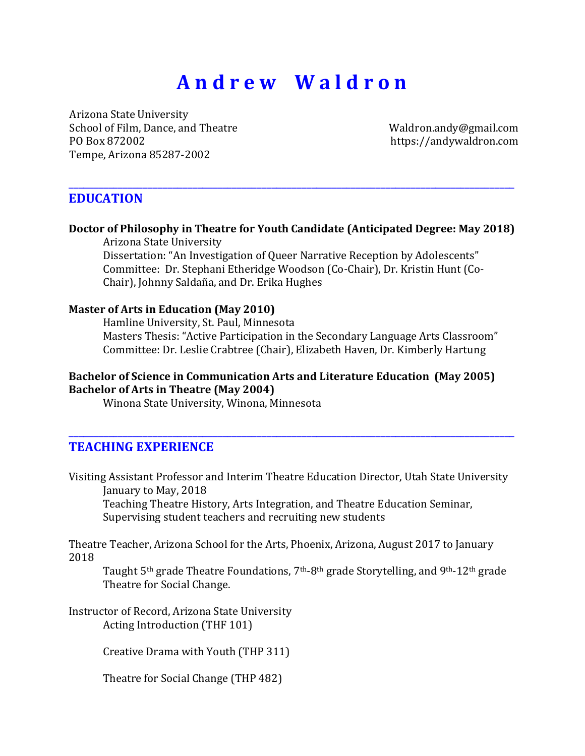# Andrew Waldron

Arizona State University School of Film, Dance, and Theatre PO Box 872002 Tempe, Arizona 85287-2002

Waldron.andy@gmail.com https://andywaldron.com

## **EDUCATION**

#### **Doctor of Philosophy in Theatre for Youth Candidate (Anticipated Degree: May 2018)** Arizona State University

\_\_\_\_\_\_\_\_\_\_\_\_\_\_\_\_\_\_\_\_\_\_\_\_\_\_\_\_\_\_\_\_\_\_\_\_\_\_\_\_\_\_\_\_\_\_\_\_\_\_\_\_\_\_\_\_\_\_\_\_\_\_\_\_\_\_\_\_\_\_\_\_\_\_\_\_\_\_\_\_\_\_\_\_\_\_\_\_\_\_

Dissertation: "An Investigation of Queer Narrative Reception by Adolescents" Committee: Dr. Stephani Etheridge Woodson (Co-Chair), Dr. Kristin Hunt (Co-Chair), Johnny Saldaña, and Dr. Erika Hughes

#### **Master of Arts in Education (May 2010)**

Hamline University, St. Paul, Minnesota Masters Thesis: "Active Participation in the Secondary Language Arts Classroom" Committee: Dr. Leslie Crabtree (Chair), Elizabeth Haven, Dr. Kimberly Hartung

#### **Bachelor of Science in Communication Arts and Literature Education (May 2005) Bachelor of Arts in Theatre (May 2004)**

Winona State University, Winona, Minnesota

## **TEACHING EXPERIENCE**

Visiting Assistant Professor and Interim Theatre Education Director, Utah State University January to May, 2018 Teaching Theatre History, Arts Integration, and Theatre Education Seminar,

\_\_\_\_\_\_\_\_\_\_\_\_\_\_\_\_\_\_\_\_\_\_\_\_\_\_\_\_\_\_\_\_\_\_\_\_\_\_\_\_\_\_\_\_\_\_\_\_\_\_\_\_\_\_\_\_\_\_\_\_\_\_\_\_\_\_\_\_\_\_\_\_\_\_\_\_\_\_\_\_\_\_\_\_\_\_\_\_\_\_

Supervising student teachers and recruiting new students

Theatre Teacher, Arizona School for the Arts, Phoenix, Arizona, August 2017 to January 2018

Taught 5<sup>th</sup> grade Theatre Foundations, 7<sup>th</sup>-8<sup>th</sup> grade Storytelling, and 9<sup>th</sup>-12<sup>th</sup> grade Theatre for Social Change.

Instructor of Record, Arizona State University Acting Introduction (THF 101)

Creative Drama with Youth (THP 311)

Theatre for Social Change (THP 482)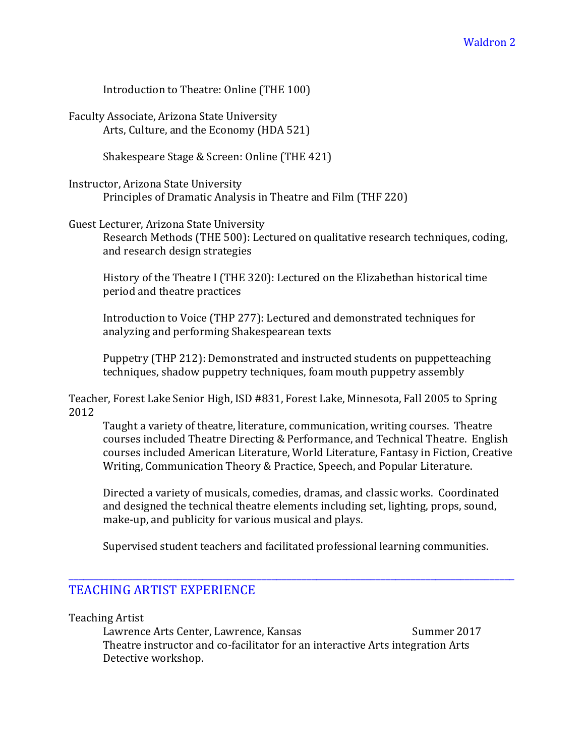Introduction to Theatre: Online (THE 100)

Faculty Associate, Arizona State University Arts, Culture, and the Economy (HDA 521)

Shakespeare Stage & Screen: Online (THE 421)

Instructor, Arizona State University Principles of Dramatic Analysis in Theatre and Film (THF 220)

Guest Lecturer, Arizona State University

Research Methods (THE 500): Lectured on qualitative research techniques, coding, and research design strategies

History of the Theatre I (THE 320): Lectured on the Elizabethan historical time period and theatre practices

Introduction to Voice (THP 277): Lectured and demonstrated techniques for analyzing and performing Shakespearean texts

Puppetry (THP 212): Demonstrated and instructed students on puppetteaching techniques, shadow puppetry techniques, foam mouth puppetry assembly

Teacher, Forest Lake Senior High, ISD #831, Forest Lake, Minnesota, Fall 2005 to Spring 2012

Taught a variety of theatre, literature, communication, writing courses. Theatre courses included Theatre Directing & Performance, and Technical Theatre. English courses included American Literature, World Literature, Fantasy in Fiction, Creative Writing, Communication Theory & Practice, Speech, and Popular Literature.

Directed a variety of musicals, comedies, dramas, and classic works. Coordinated and designed the technical theatre elements including set, lighting, props, sound, make-up, and publicity for various musical and plays.

Supervised student teachers and facilitated professional learning communities.

\_\_\_\_\_\_\_\_\_\_\_\_\_\_\_\_\_\_\_\_\_\_\_\_\_\_\_\_\_\_\_\_\_\_\_\_\_\_\_\_\_\_\_\_\_\_\_\_\_\_\_\_\_\_\_\_\_\_\_\_\_\_\_\_\_\_\_\_\_\_\_\_\_\_\_\_\_\_\_\_\_\_\_\_\_\_\_\_\_\_

## TEACHING ARTIST EXPERIENCE

#### Teaching Artist

Lawrence Arts Center, Lawrence, Kansas Summer 2017 Theatre instructor and co-facilitator for an interactive Arts integration Arts Detective workshop.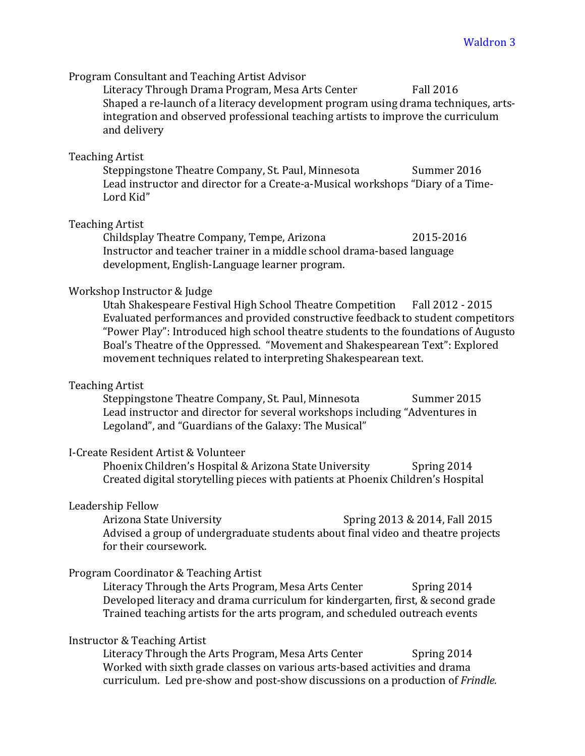Program Consultant and Teaching Artist Advisor

Literacy Through Drama Program, Mesa Arts Center Fall 2016 Shaped a re-launch of a literacy development program using drama techniques, artsintegration and observed professional teaching artists to improve the curriculum and delivery

#### Teaching Artist

Steppingstone Theatre Company, St. Paul, Minnesota Summer 2016 Lead instructor and director for a Create-a-Musical workshops "Diary of a Time-Lord Kid"

#### Teaching Artist

Childsplay Theatre Company, Tempe, Arizona 2015-2016 Instructor and teacher trainer in a middle school drama-based language development, English-Language learner program.

#### Workshop Instructor & Judge

Utah Shakespeare Festival High School Theatre Competition Fall 2012 - 2015 Evaluated performances and provided constructive feedback to student competitors "Power Play": Introduced high school theatre students to the foundations of Augusto Boal's Theatre of the Oppressed. "Movement and Shakespearean Text": Explored movement techniques related to interpreting Shakespearean text.

#### Teaching Artist

Steppingstone Theatre Company, St. Paul, Minnesota Summer 2015 Lead instructor and director for several workshops including "Adventures in Legoland", and "Guardians of the Galaxy: The Musical"

#### I-Create Resident Artist & Volunteer

Phoenix Children's Hospital & Arizona State University Spring 2014 Created digital storytelling pieces with patients at Phoenix Children's Hospital

#### Leadership Fellow

Arizona State University Spring 2013 & 2014, Fall 2015 Advised a group of undergraduate students about final video and theatre projects for their coursework.

#### Program Coordinator & Teaching Artist

Literacy Through the Arts Program, Mesa Arts Center Spring 2014 Developed literacy and drama curriculum for kindergarten, first, & second grade Trained teaching artists for the arts program, and scheduled outreach events

#### Instructor & Teaching Artist

Literacy Through the Arts Program, Mesa Arts Center Spring 2014 Worked with sixth grade classes on various arts-based activities and drama curriculum. Led pre-show and post-show discussions on a production of *Frindle*.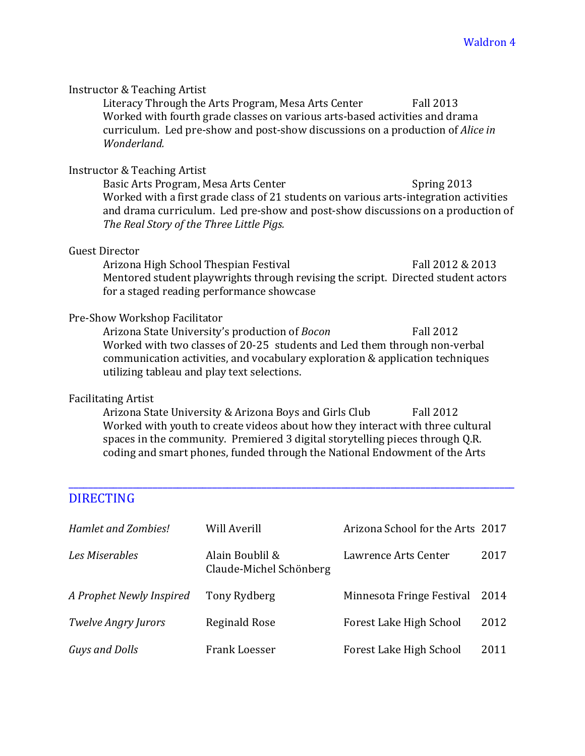#### Instructor & Teaching Artist

Literacy Through the Arts Program, Mesa Arts Center Fall 2013 Worked with fourth grade classes on various arts-based activities and drama curriculum. Led pre-show and post-show discussions on a production of *Alice in Wonderland.*

#### Instructor & Teaching Artist

Basic Arts Program, Mesa Arts Center Spring 2013 Worked with a first grade class of 21 students on various arts-integration activities and drama curriculum. Led pre-show and post-show discussions on a production of The Real Story of the Three Little Pigs.

#### **Guest Director**

Arizona High School Thespian Festival Fall 2012 & 2013 Mentored student playwrights through revising the script. Directed student actors for a staged reading performance showcase

#### Pre-Show Workshop Facilitator

Arizona State University's production of *Bocon* Fall 2012 Worked with two classes of 20-25 students and Led them through non-verbal communication activities, and vocabulary exploration & application techniques utilizing tableau and play text selections.

#### Facilitating Artist

Arizona State University & Arizona Boys and Girls Club Fall 2012 Worked with youth to create videos about how they interact with three cultural spaces in the community. Premiered 3 digital storytelling pieces through Q.R. coding and smart phones, funded through the National Endowment of the Arts

\_\_\_\_\_\_\_\_\_\_\_\_\_\_\_\_\_\_\_\_\_\_\_\_\_\_\_\_\_\_\_\_\_\_\_\_\_\_\_\_\_\_\_\_\_\_\_\_\_\_\_\_\_\_\_\_\_\_\_\_\_\_\_\_\_\_\_\_\_\_\_\_\_\_\_\_\_\_\_\_\_\_\_\_\_\_\_\_\_\_

## DIRECTING

| Hamlet and Zombies!        | Will Averill                               | Arizona School for the Arts 2017 |      |
|----------------------------|--------------------------------------------|----------------------------------|------|
| Les Miserables             | Alain Boublil &<br>Claude-Michel Schönberg | Lawrence Arts Center             | 2017 |
| A Prophet Newly Inspired   | Tony Rydberg                               | Minnesota Fringe Festival        | 2014 |
| <b>Twelve Angry Jurors</b> | <b>Reginald Rose</b>                       | Forest Lake High School          | 2012 |
| <b>Guys and Dolls</b>      | <b>Frank Loesser</b>                       | Forest Lake High School          | 2011 |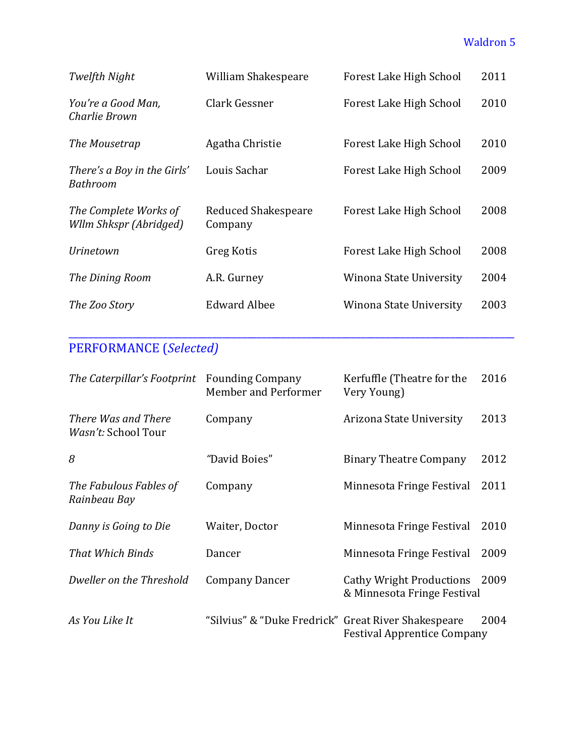## Waldron 5

| Twelfth Night                                   | William Shakespeare            | Forest Lake High School | 2011 |
|-------------------------------------------------|--------------------------------|-------------------------|------|
| You're a Good Man,<br>Charlie Brown             | Clark Gessner                  | Forest Lake High School | 2010 |
| The Mousetrap                                   | Agatha Christie                | Forest Lake High School | 2010 |
| There's a Boy in the Girls'<br><b>Bathroom</b>  | Louis Sachar                   | Forest Lake High School | 2009 |
| The Complete Works of<br>Wllm Shkspr (Abridged) | Reduced Shakespeare<br>Company | Forest Lake High School | 2008 |
| <b>Urinetown</b>                                | Greg Kotis                     | Forest Lake High School | 2008 |
| The Dining Room                                 | A.R. Gurney                    | Winona State University | 2004 |
| The Zoo Story                                   | <b>Edward Albee</b>            | Winona State University | 2003 |

\_\_\_\_\_\_\_\_\_\_\_\_\_\_\_\_\_\_\_\_\_\_\_\_\_\_\_\_\_\_\_\_\_\_\_\_\_\_\_\_\_\_\_\_\_\_\_\_\_\_\_\_\_\_\_\_\_\_\_\_\_\_\_\_\_\_\_\_\_\_\_\_\_\_\_\_\_\_\_\_\_\_\_\_\_\_\_\_\_\_

## PERFORMANCE (*Selected*)

| The Caterpillar's Footprint                | <b>Founding Company</b><br><b>Member and Performer</b> | Kerfuffle (Theatre for the<br>Very Young)                      | 2016 |
|--------------------------------------------|--------------------------------------------------------|----------------------------------------------------------------|------|
| There Was and There<br>Wasn't: School Tour | Company                                                | Arizona State University                                       | 2013 |
| 8                                          | "David Boies"                                          | <b>Binary Theatre Company</b>                                  | 2012 |
| The Fabulous Fables of<br>Rainbeau Bay     | Company                                                | Minnesota Fringe Festival                                      | 2011 |
| Danny is Going to Die                      | Waiter, Doctor                                         | Minnesota Fringe Festival                                      | 2010 |
| <b>That Which Binds</b>                    | Dancer                                                 | Minnesota Fringe Festival                                      | 2009 |
| Dweller on the Threshold                   | <b>Company Dancer</b>                                  | <b>Cathy Wright Productions</b><br>& Minnesota Fringe Festival | 2009 |
| As You Like It                             | "Silvius" & "Duke Fredrick" Great River Shakespeare    | <b>Festival Apprentice Company</b>                             | 2004 |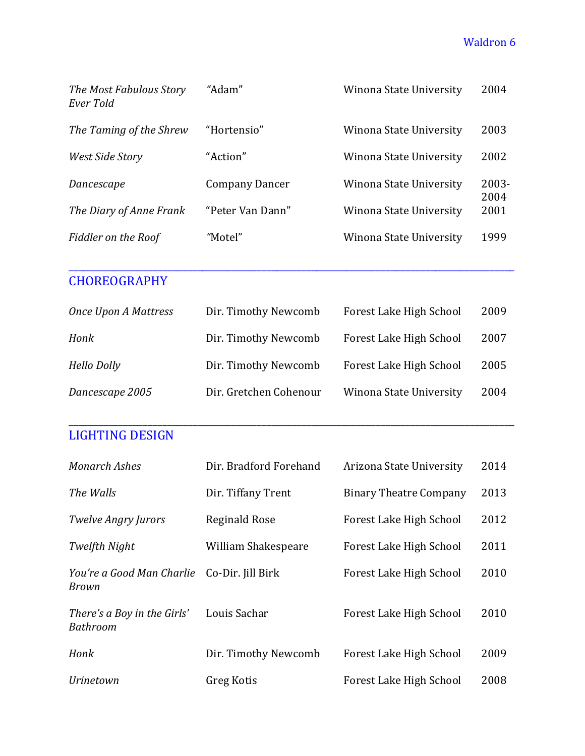## Waldron 6

| The Most Fabulous Story<br>Ever Told           | "Adam"                 | <b>Winona State University</b> | 2004          |
|------------------------------------------------|------------------------|--------------------------------|---------------|
| The Taming of the Shrew                        | "Hortensio"            | <b>Winona State University</b> | 2003          |
| West Side Story                                | "Action"               | <b>Winona State University</b> | 2002          |
| Dancescape                                     | <b>Company Dancer</b>  | <b>Winona State University</b> | 2003-<br>2004 |
| The Diary of Anne Frank                        | "Peter Van Dann"       | <b>Winona State University</b> | 2001          |
| Fiddler on the Roof                            | "Motel"                | <b>Winona State University</b> | 1999          |
| <b>CHOREOGRAPHY</b>                            |                        |                                |               |
| <b>Once Upon A Mattress</b>                    | Dir. Timothy Newcomb   | Forest Lake High School        | 2009          |
| Honk                                           | Dir. Timothy Newcomb   | Forest Lake High School        | 2007          |
| <b>Hello Dolly</b>                             | Dir. Timothy Newcomb   | Forest Lake High School        | 2005          |
| Dancescape 2005                                | Dir. Gretchen Cohenour | <b>Winona State University</b> | 2004          |
| <b>LIGHTING DESIGN</b>                         |                        |                                |               |
| <b>Monarch Ashes</b>                           | Dir. Bradford Forehand | Arizona State University       | 2014          |
| The Walls                                      | Dir. Tiffany Trent     | <b>Binary Theatre Company</b>  | 2013          |
| Twelve Angry Jurors                            | <b>Reginald Rose</b>   | Forest Lake High School        | 2012          |
| Twelfth Night                                  | William Shakespeare    | Forest Lake High School        | 2011          |
| You're a Good Man Charlie<br><b>Brown</b>      | Co-Dir. Jill Birk      | Forest Lake High School        | 2010          |
| There's a Boy in the Girls'<br><b>Bathroom</b> | Louis Sachar           | Forest Lake High School        | 2010          |
| Honk                                           | Dir. Timothy Newcomb   | Forest Lake High School        | 2009          |
| <i>Urinetown</i>                               | <b>Greg Kotis</b>      | Forest Lake High School        | 2008          |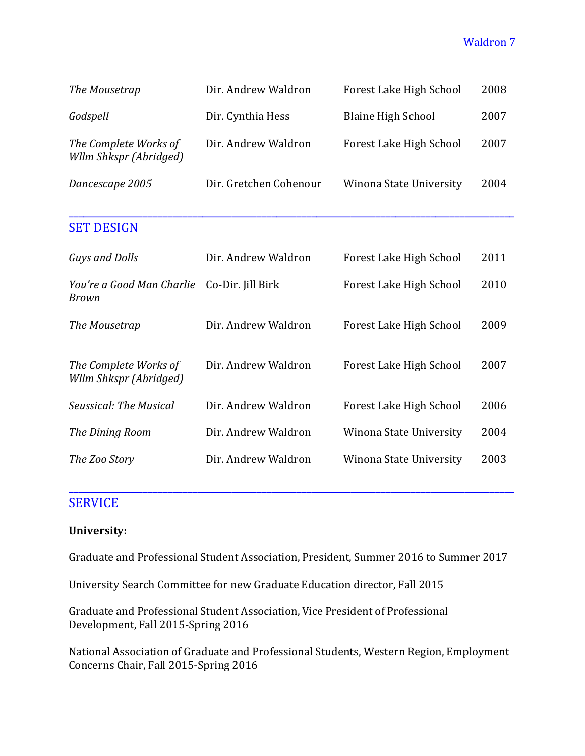## Waldron<sub>7</sub>

| The Mousetrap                                   | Dir. Andrew Waldron    | Forest Lake High School   | 2008 |
|-------------------------------------------------|------------------------|---------------------------|------|
| Godspell                                        | Dir. Cynthia Hess      | <b>Blaine High School</b> | 2007 |
| The Complete Works of<br>Wllm Shkspr (Abridged) | Dir. Andrew Waldron    | Forest Lake High School   | 2007 |
| Dancescape 2005                                 | Dir. Gretchen Cohenour | Winona State University   | 2004 |
| <b>SET DESIGN</b>                               |                        |                           |      |
| <b>Guys and Dolls</b>                           | Dir. Andrew Waldron    | Forest Lake High School   | 2011 |
| You're a Good Man Charlie<br><b>Brown</b>       | Co-Dir. Jill Birk      | Forest Lake High School   | 2010 |
| The Mousetrap                                   | Dir. Andrew Waldron    | Forest Lake High School   | 2009 |
| The Complete Works of<br>Wllm Shkspr (Abridged) | Dir. Andrew Waldron    | Forest Lake High School   | 2007 |
| <b>Seussical: The Musical</b>                   | Dir. Andrew Waldron    | Forest Lake High School   | 2006 |
| The Dining Room                                 | Dir. Andrew Waldron    | Winona State University   | 2004 |
| The Zoo Story                                   | Dir. Andrew Waldron    | Winona State University   | 2003 |

## **SERVICE**

#### **University:**

Graduate and Professional Student Association, President, Summer 2016 to Summer 2017

\_\_\_\_\_\_\_\_\_\_\_\_\_\_\_\_\_\_\_\_\_\_\_\_\_\_\_\_\_\_\_\_\_\_\_\_\_\_\_\_\_\_\_\_\_\_\_\_\_\_\_\_\_\_\_\_\_\_\_\_\_\_\_\_\_\_\_\_\_\_\_\_\_\_\_\_\_\_\_\_\_\_\_\_\_\_\_\_\_\_

University Search Committee for new Graduate Education director, Fall 2015

Graduate and Professional Student Association, Vice President of Professional Development, Fall 2015-Spring 2016

National Association of Graduate and Professional Students, Western Region, Employment Concerns Chair, Fall 2015-Spring 2016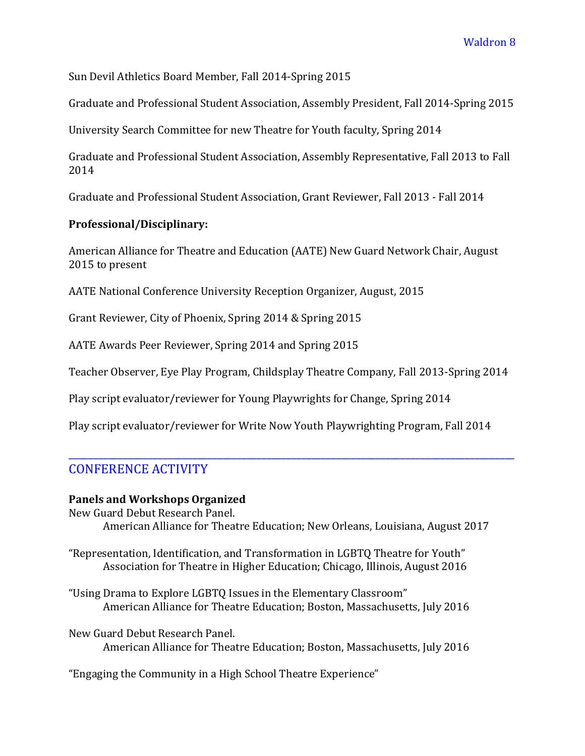Sun Devil Athletics Board Member, Fall 2014-Spring 2015

Graduate and Professional Student Association, Assembly President, Fall 2014-Spring 2015

University Search Committee for new Theatre for Youth faculty, Spring 2014

Graduate and Professional Student Association, Assembly Representative, Fall 2013 to Fall 2014

Graduate and Professional Student Association, Grant Reviewer, Fall 2013 - Fall 2014

#### **Professional/Disciplinary:**

American Alliance for Theatre and Education (AATE) New Guard Network Chair, August 2015 to present

AATE National Conference University Reception Organizer, August, 2015

Grant Reviewer, City of Phoenix, Spring 2014 & Spring 2015

AATE Awards Peer Reviewer, Spring 2014 and Spring 2015

Teacher Observer, Eye Play Program, Childsplay Theatre Company, Fall 2013-Spring 2014

Play script evaluator/reviewer for Young Playwrights for Change, Spring 2014

Play script evaluator/reviewer for Write Now Youth Playwrighting Program, Fall 2014

\_\_\_\_\_\_\_\_\_\_\_\_\_\_\_\_\_\_\_\_\_\_\_\_\_\_\_\_\_\_\_\_\_\_\_\_\_\_\_\_\_\_\_\_\_\_\_\_\_\_\_\_\_\_\_\_\_\_\_\_\_\_\_\_\_\_\_\_\_\_\_\_\_\_\_\_\_\_\_\_\_\_\_\_\_\_\_\_\_\_

## CONFERENCE ACTIVITY

#### **Panels and Workshops Organized**

New Guard Debut Research Panel. American Alliance for Theatre Education; New Orleans, Louisiana, August 2017

"Representation, Identification, and Transformation in LGBTQ Theatre for Youth" Association for Theatre in Higher Education; Chicago, Illinois, August 2016

"Using Drama to Explore LGBTQ Issues in the Elementary Classroom" American Alliance for Theatre Education; Boston, Massachusetts, July 2016

New Guard Debut Research Panel. American Alliance for Theatre Education; Boston, Massachusetts, July 2016

"Engaging the Community in a High School Theatre Experience"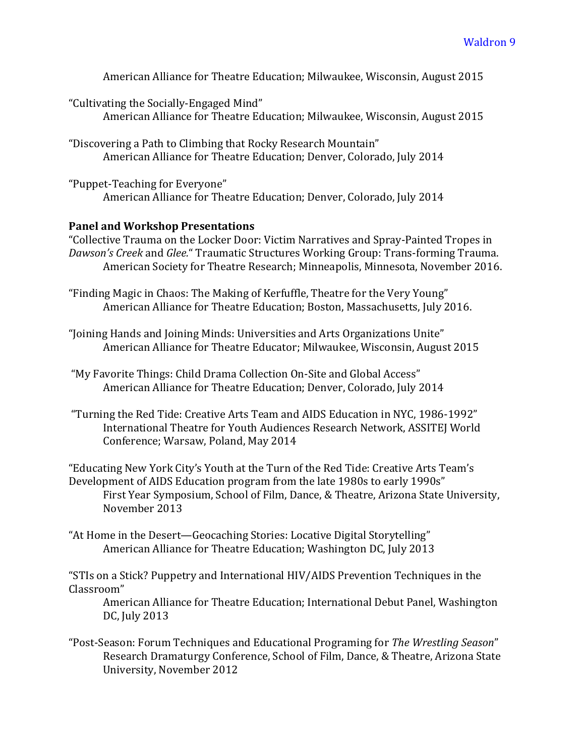American Alliance for Theatre Education; Milwaukee, Wisconsin, August 2015

"Cultivating the Socially-Engaged Mind" American Alliance for Theatre Education; Milwaukee, Wisconsin, August 2015

"Discovering a Path to Climbing that Rocky Research Mountain" American Alliance for Theatre Education; Denver, Colorado, July 2014

"Puppet-Teaching for Everyone" American Alliance for Theatre Education; Denver, Colorado, July 2014

#### **Panel and Workshop Presentations**

"Collective Trauma on the Locker Door: Victim Narratives and Spray-Painted Tropes in *Dawson's Creek* and *Glee.*" Traumatic Structures Working Group: Trans-forming Trauma. American Society for Theatre Research; Minneapolis, Minnesota, November 2016.

"Finding Magic in Chaos: The Making of Kerfuffle, Theatre for the Very Young" American Alliance for Theatre Education: Boston, Massachusetts, July 2016.

"Joining Hands and Joining Minds: Universities and Arts Organizations Unite" American Alliance for Theatre Educator; Milwaukee, Wisconsin, August 2015

"My Favorite Things: Child Drama Collection On-Site and Global Access" American Alliance for Theatre Education; Denver, Colorado, July 2014

"Turning the Red Tide: Creative Arts Team and AIDS Education in NYC, 1986-1992" International Theatre for Youth Audiences Research Network, ASSITEJ World Conference; Warsaw, Poland, May 2014

"Educating New York City's Youth at the Turn of the Red Tide: Creative Arts Team's Development of AIDS Education program from the late 1980s to early 1990s" First Year Symposium, School of Film, Dance, & Theatre, Arizona State University, November 2013 

"At Home in the Desert-Geocaching Stories: Locative Digital Storytelling" American Alliance for Theatre Education; Washington DC, July 2013

"STIs on a Stick? Puppetry and International HIV/AIDS Prevention Techniques in the Classroom" 

American Alliance for Theatre Education; International Debut Panel, Washington DC, July 2013

"Post-Season: Forum Techniques and Educational Programing for *The Wrestling Season*" Research Dramaturgy Conference, School of Film, Dance, & Theatre, Arizona State University, November 2012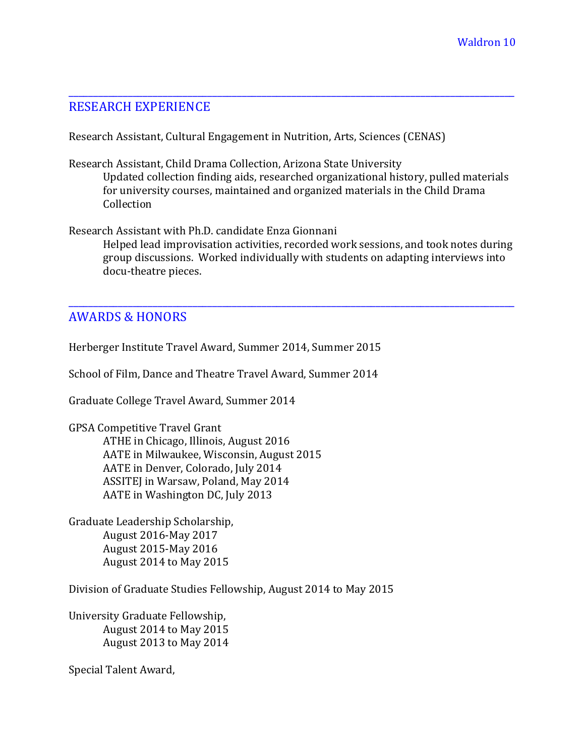## RESEARCH EXPERIENCE

Research Assistant, Cultural Engagement in Nutrition, Arts, Sciences (CENAS)

Research Assistant, Child Drama Collection, Arizona State University

Updated collection finding aids, researched organizational history, pulled materials for university courses, maintained and organized materials in the Child Drama Collection

Research Assistant with Ph.D. candidate Enza Gionnani Helped lead improvisation activities, recorded work sessions, and took notes during group discussions. Worked individually with students on adapting interviews into docu-theatre pieces.

\_\_\_\_\_\_\_\_\_\_\_\_\_\_\_\_\_\_\_\_\_\_\_\_\_\_\_\_\_\_\_\_\_\_\_\_\_\_\_\_\_\_\_\_\_\_\_\_\_\_\_\_\_\_\_\_\_\_\_\_\_\_\_\_\_\_\_\_\_\_\_\_\_\_\_\_\_\_\_\_\_\_\_\_\_\_\_\_\_\_

\_\_\_\_\_\_\_\_\_\_\_\_\_\_\_\_\_\_\_\_\_\_\_\_\_\_\_\_\_\_\_\_\_\_\_\_\_\_\_\_\_\_\_\_\_\_\_\_\_\_\_\_\_\_\_\_\_\_\_\_\_\_\_\_\_\_\_\_\_\_\_\_\_\_\_\_\_\_\_\_\_\_\_\_\_\_\_\_\_\_

## **AWARDS & HONORS**

Herberger Institute Travel Award, Summer 2014, Summer 2015

School of Film, Dance and Theatre Travel Award, Summer 2014

Graduate College Travel Award, Summer 2014

GPSA Competitive Travel Grant ATHE in Chicago, Illinois, August 2016 AATE in Milwaukee, Wisconsin, August 2015 AATE in Denver, Colorado, July 2014 ASSITEJ in Warsaw, Poland, May 2014 AATE in Washington DC, July 2013

Graduate Leadership Scholarship, August 2016-May 2017 August 2015-May 2016 August 2014 to May 2015

Division of Graduate Studies Fellowship, August 2014 to May 2015

University Graduate Fellowship, August 2014 to May 2015 August 2013 to May 2014

Special Talent Award,